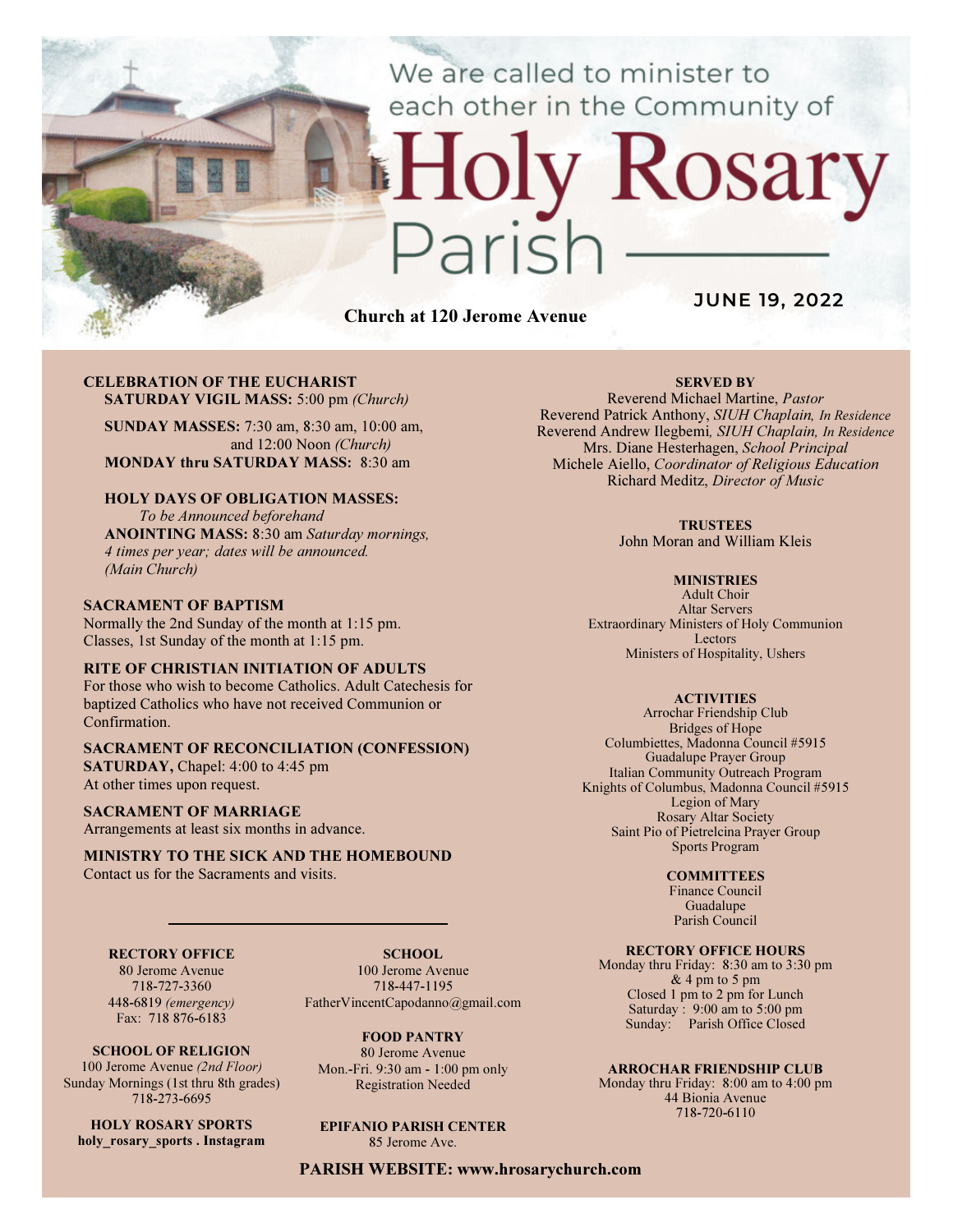We are called to minister to each other in the Community of

# Rosary ark

Church at 120 Jerome Avenue

JUNE 19, 2022

#### CELEBRATION OF THE EUCHARIST SATURDAY VIGIL MASS: 5:00 pm (Church)

SUNDAY MASSES: 7:30 am, 8:30 am, 10:00 am, and 12:00 Noon (Church) MONDAY thru SATURDAY MASS: 8:30 am

### HOLY DAYS OF OBLIGATION MASSES:

To be Announced beforehand ANOINTING MASS: 8:30 am Saturday mornings, 4 times per year; dates will be announced. (Main Church)

#### SACRAMENT OF BAPTISM

Normally the 2nd Sunday of the month at 1:15 pm. Classes, 1st Sunday of the month at 1:15 pm.

#### RITE OF CHRISTIAN INITIATION OF ADULTS

For those who wish to become Catholics. Adult Catechesis for baptized Catholics who have not received Communion or Confirmation.

# SACRAMENT OF RECONCILIATION (CONFESSION)

SATURDAY, Chapel: 4:00 to 4:45 pm At other times upon request.

#### SACRAMENT OF MARRIAGE

Arrangements at least six months in advance.

#### MINISTRY TO THE SICK AND THE HOMEBOUND Contact us for the Sacraments and visits.

#### RECTORY OFFICE

80 Jerome Avenue 718-727-3360 448-6819 (emergency) Fax: 718 876-6183

SCHOOL OF RELIGION 100 Jerome Avenue (2nd Floor) Sunday Mornings (1st thru 8th grades) 718-273-6695

HOLY ROSARY SPORTS holy rosary sports . Instagram

SCHOOL. 100 Jerome Avenue 718-447-1195 FatherVincentCapodanno@gmail.com

FOOD PANTRY 80 Jerome Avenue Mon.-Fri. 9:30 am - 1:00 pm only Registration Needed

EPIFANIO PARISH CENTER 85 Jerome Ave.

PARISH WEBSITE: www.hrosarychurch.com

#### SERVED BY

Reverend Michael Martine, Pastor Reverend Patrick Anthony, SIUH Chaplain, In Residence Reverend Andrew Ilegbemi, SIUH Chaplain, In Residence Mrs. Diane Hesterhagen, School Principal Michele Aiello, Coordinator of Religious Education Richard Meditz, Director of Music

#### **TRUSTEES**

John Moran and William Kleis

#### **MINISTRIES**

Adult Choir Altar Servers Extraordinary Ministers of Holy Communion Lectors Ministers of Hospitality, Ushers

#### **ACTIVITIES**

Arrochar Friendship Club Bridges of Hope Columbiettes, Madonna Council #5915 Guadalupe Prayer Group Italian Community Outreach Program Knights of Columbus, Madonna Council #5915 Legion of Mary Rosary Altar Society Saint Pio of Pietrelcina Prayer Group Sports Program

#### **COMMITTEES**

Finance Council Guadalupe Parish Council

#### RECTORY OFFICE HOURS

Monday thru Friday: 8:30 am to 3:30 pm & 4 pm to 5 pm Closed 1 pm to 2 pm for Lunch Saturday:  $9:00 \text{ am to } 5:00 \text{ pm}$ Sunday: Parish Office Closed

#### ARROCHAR FRIENDSHIP CLUB

Monday thru Friday: 8:00 am to 4:00 pm 44 Bionia Avenue 718-720-6110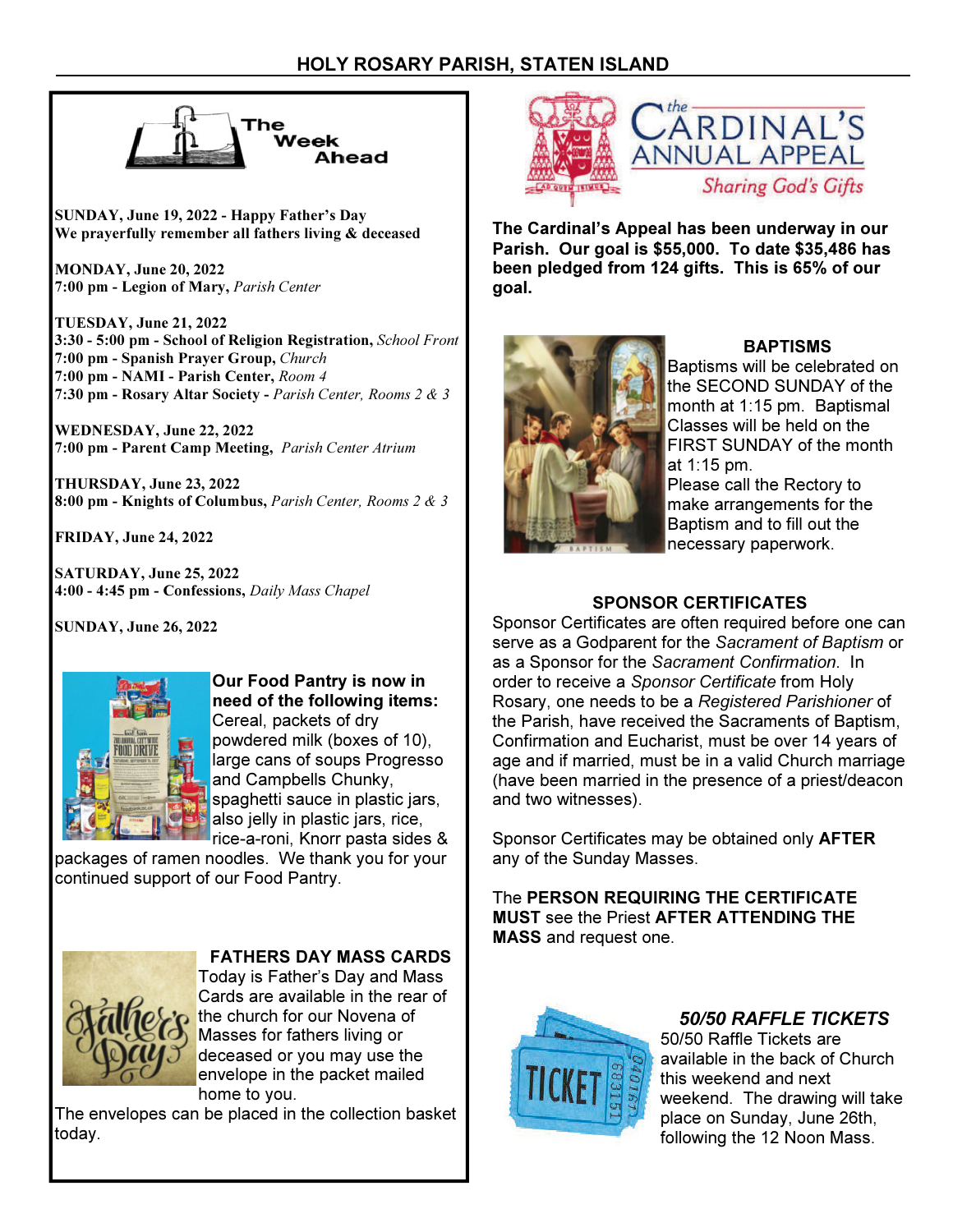

SUNDAY, June 19, 2022 - Happy Father's Day We prayerfully remember all fathers living & deceased

MONDAY, June 20, 2022 7:00 pm - Legion of Mary, Parish Center

TUESDAY, June 21, 2022 3:30 - 5:00 pm - School of Religion Registration, School Front 7:00 pm - Spanish Prayer Group, Church 7:00 pm - NAMI - Parish Center, Room 4 7:30 pm - Rosary Altar Society - Parish Center, Rooms 2 & 3

WEDNESDAY, June 22, 2022 7:00 pm - Parent Camp Meeting, Parish Center Atrium

THURSDAY, June 23, 2022 8:00 pm - Knights of Columbus, Parish Center, Rooms 2 & 3

FRIDAY, June 24, 2022

SATURDAY, June 25, 2022 4:00 - 4:45 pm - Confessions, Daily Mass Chapel

SUNDAY, June 26, 2022



Our Food Pantry is now in need of the following items: Cereal, packets of dry powdered milk (boxes of 10), large cans of soups Progresso and Campbells Chunky, spaghetti sauce in plastic jars, also jelly in plastic jars, rice, rice-a-roni, Knorr pasta sides &

packages of ramen noodles. We thank you for your continued support of our Food Pantry.



FATHERS DAY MASS CARDS

Today is Father's Day and Mass Cards are available in the rear of the church for our Novena of Masses for fathers living or deceased or you may use the envelope in the packet mailed home to you.

The envelopes can be placed in the collection basket today.



The Cardinal's Appeal has been underway in our Parish. Our goal is \$55,000. To date \$35,486 has been pledged from 124 gifts. This is 65% of our goal.



# BAPTISMS

Baptisms will be celebrated on the SECOND SUNDAY of the month at 1:15 pm. Baptismal Classes will be held on the FIRST SUNDAY of the month at 1:15 pm.

Please call the Rectory to make arrangements for the Baptism and to fill out the necessary paperwork.

# SPONSOR CERTIFICATES

Sponsor Certificates are often required before one can serve as a Godparent for the Sacrament of Baptism or as a Sponsor for the Sacrament Confirmation. In order to receive a Sponsor Certificate from Holy Rosary, one needs to be a Registered Parishioner of the Parish, have received the Sacraments of Baptism, Confirmation and Eucharist, must be over 14 years of age and if married, must be in a valid Church marriage (have been married in the presence of a priest/deacon and two witnesses).

Sponsor Certificates may be obtained only AFTER any of the Sunday Masses.

The PERSON REQUIRING THE CERTIFICATE MUST see the Priest AFTER ATTENDING THE MASS and request one.



50/50 RAFFLE TICKETS 50/50 Raffle Tickets are available in the back of Church this weekend and next weekend. The drawing will take place on Sunday, June 26th, following the 12 Noon Mass.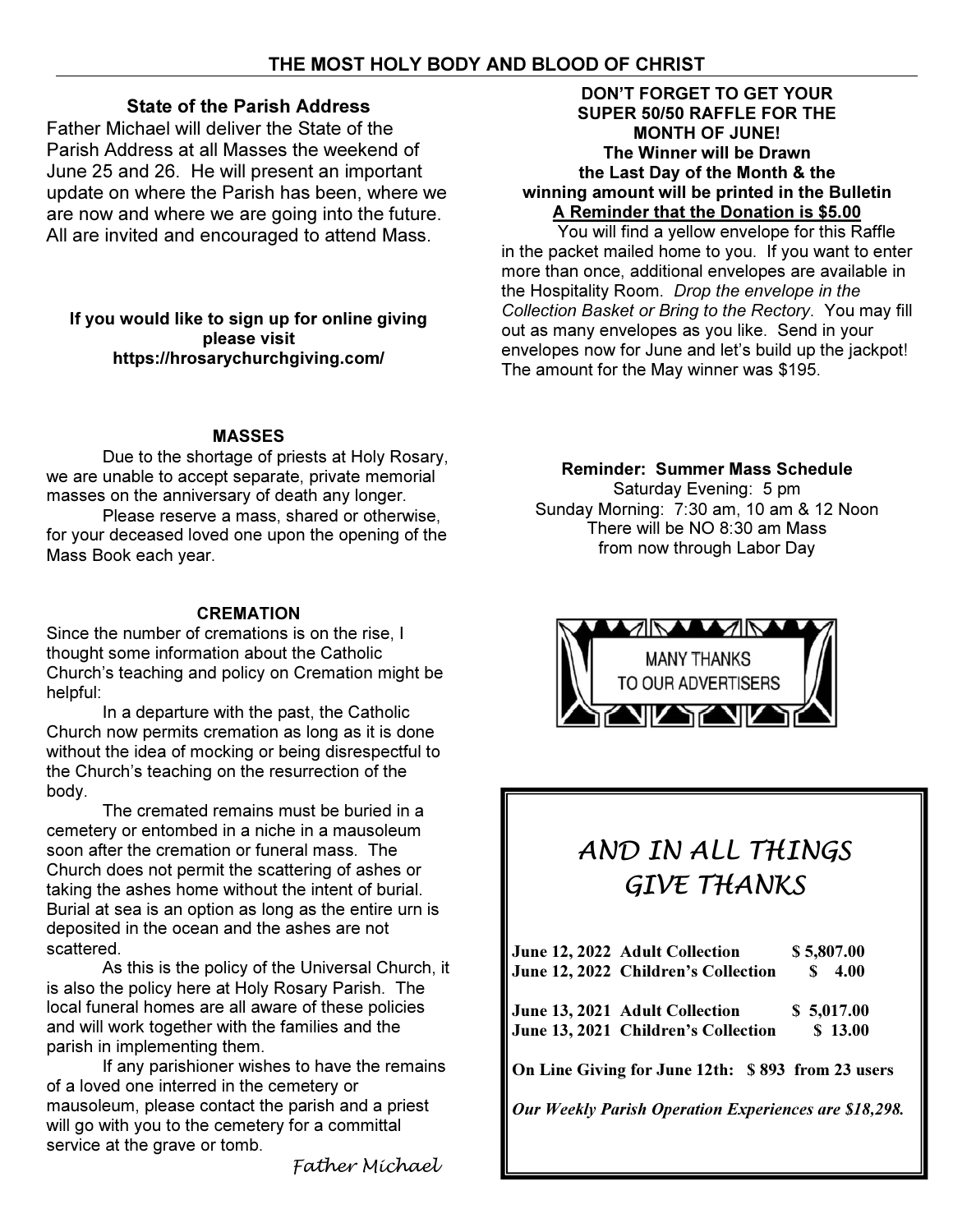# State of the Parish Address

Father Michael will deliver the State of the Parish Address at all Masses the weekend of June 25 and 26. He will present an important update on where the Parish has been, where we are now and where we are going into the future. All are invited and encouraged to attend Mass.

If you would like to sign up for online giving please visit https://hrosarychurchgiving.com/

# MASSES

 Due to the shortage of priests at Holy Rosary, we are unable to accept separate, private memorial masses on the anniversary of death any longer.

 Please reserve a mass, shared or otherwise, for your deceased loved one upon the opening of the Mass Book each year.

# **CREMATION**

Since the number of cremations is on the rise, I thought some information about the Catholic Church's teaching and policy on Cremation might be helpful:

 In a departure with the past, the Catholic Church now permits cremation as long as it is done without the idea of mocking or being disrespectful to the Church's teaching on the resurrection of the body.

 The cremated remains must be buried in a cemetery or entombed in a niche in a mausoleum soon after the cremation or funeral mass. The Church does not permit the scattering of ashes or taking the ashes home without the intent of burial. Burial at sea is an option as long as the entire urn is deposited in the ocean and the ashes are not scattered.

 As this is the policy of the Universal Church, it is also the policy here at Holy Rosary Parish. The local funeral homes are all aware of these policies and will work together with the families and the parish in implementing them.

 If any parishioner wishes to have the remains of a loved one interred in the cemetery or mausoleum, please contact the parish and a priest will go with you to the cemetery for a committal service at the grave or tomb.

Father Michael

# DON'T FORGET TO GET YOUR SUPER 50/50 RAFFLE FOR THE MONTH OF JUNE! The Winner will be Drawn the Last Day of the Month & the winning amount will be printed in the Bulletin A Reminder that the Donation is \$5.00

You will find a yellow envelope for this Raffle in the packet mailed home to you. If you want to enter more than once, additional envelopes are available in the Hospitality Room. Drop the envelope in the Collection Basket or Bring to the Rectory. You may fill out as many envelopes as you like. Send in your envelopes now for June and let's build up the jackpot! The amount for the May winner was \$195.

# Reminder: Summer Mass Schedule

Saturday Evening: 5 pm Sunday Morning: 7:30 am, 10 am & 12 Noon There will be NO 8:30 am Mass from now through Labor Day



# AND IN ALL THINGS GIVE THANKS

| June 12, 2022 Adult Collection                               | \$5,807.00  |
|--------------------------------------------------------------|-------------|
| June 12, 2022 Children's Collection                          | S.<br>4.00  |
| June 13, 2021 Adult Collection                               | \$ 5,017.00 |
| June 13, 2021 Children's Collection                          | \$13.00     |
| On Line Giving for June 12th: \$893 from 23 users            |             |
| <b>Our Weekly Parish Operation Experiences are \$18,298.</b> |             |